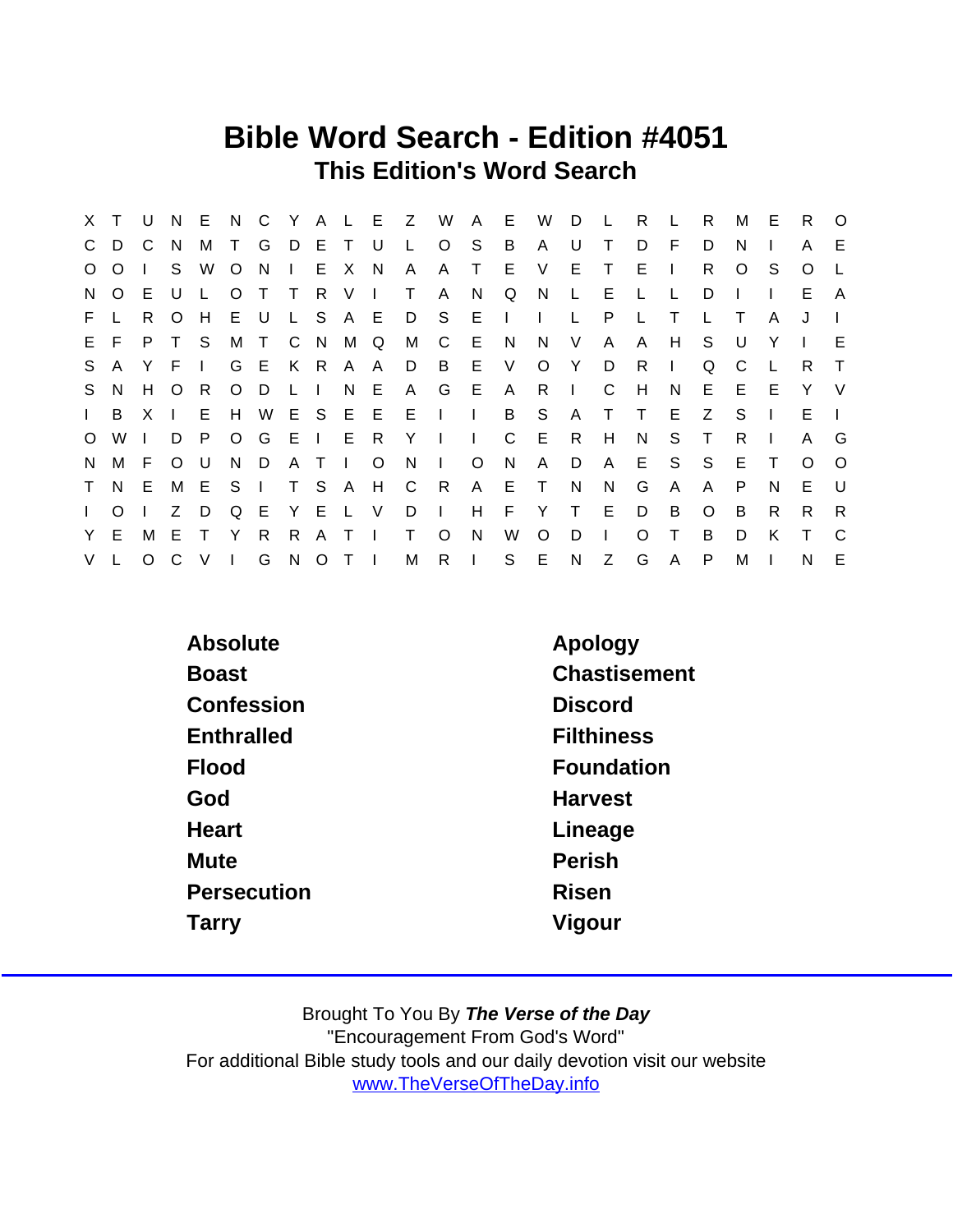## Bible Word Search - Edition #4051 This Edition's Word Search

| X.           |          | U            | N.           | E.     | N.           | $\mathsf{C}$ |              |       | Y A L E      |              | Z   | W              | $\mathsf{A}$ | E.           | W            | D.           |              | R        |              | R            | м            | Е | R.       | $\Omega$ |
|--------------|----------|--------------|--------------|--------|--------------|--------------|--------------|-------|--------------|--------------|-----|----------------|--------------|--------------|--------------|--------------|--------------|----------|--------------|--------------|--------------|---|----------|----------|
| $\mathbf{C}$ | D.       | C            | <sub>N</sub> | M      | $\top$       | G            |              | D E T |              | - U          | L.  | $\circ$        | S            | B            | A            | U            |              | D        | F.           | D            | N            |   | A        | E.       |
| $\circ$      | $\circ$  |              | S.           | W      | O            | N.           | $\mathbf{L}$ |       | E X          | N,           | A   | A              | T.           | E.           | V            | Е            | т            | E        | $\mathbf{I}$ | R.           | O            | S | O        | L        |
| N.           | $\circ$  | E.           | U            |        | O            |              | $\top$       | R V   |              | $\Box$       | T.  | A              | N.           | Q            | N            | $\mathsf{L}$ | Е            | L        |              | D            |              |   | E.       | A        |
| F.           |          | R.           | $\Omega$     | H      | E.           | U            |              |       | L S A E      |              | D   | S.             | E.           | $\mathbf{L}$ | $\mathbf{I}$ | L.           | P            | L        | T            | $\mathbf{L}$ | $\top$       | A | J        |          |
|              | E F      | P.           | $\top$       | -S     | M            | $\top$       | C N          |       | M            | Q            | M   | $\overline{C}$ | E.           | N.           | N            | V            | A            | A        | H            | S.           | U            | Υ |          | Е        |
| S            | A        | Y            | F            | $\Box$ | G            | E            |              | K R A |              | A            | D   | B              | E            | V            | $\circ$      | Y            | D            | R        | $\mathbf{L}$ | Q            | C            |   | R.       | $\top$   |
|              | S N      | H            | $\circ$      | -R     | $\circ$      | D            | L I          |       | N.           | E            | A   | G              | E            | $\mathsf{A}$ | R            | $\mathbf{L}$ | C            | H        | N            | Е            | E.           | E | Y        | - V      |
| $\mathbf{L}$ | B        | $\mathsf{X}$ | $\Box$       | E      | H            | W            |              | E S E |              | E            | - E | $\blacksquare$ | $\mathbf{I}$ | B            | <sub>S</sub> | A            | T.           | $\top$   | E            | Z            | <sub>S</sub> |   | E.       |          |
| $\circ$      | W        | $\mathbf{I}$ | D            | P.     | $\circ$      | G E          |              |       | IER          |              | Y   | $\Box$         | $\mathbf{L}$ | C.           | - E          | R.           | H            | N        | S.           | $\top$       | R            |   | A        | G        |
| N.           | M        | E            | $\circ$      | - U    | N.           | D            |              | A T   | $\mathbf{L}$ | $\circ$      | N.  | $\mathbf{L}$   | $\circ$      | N            | A            | D            | A            | Е        | S.           | <sub>S</sub> | E            | Т | $\Omega$ | $\Omega$ |
| $\mathsf T$  | N E      |              | M E          |        | S.           | $\mathbf{L}$ |              | T S A |              | H            | C   | R              | $\mathsf{A}$ | E.           | $\top$       | N.           | N            | G        | $\mathsf{A}$ | A            | P            | N | E.       | - U      |
| $\mathbf{L}$ | $\Omega$ |              | Z            | D      | Q            | E            | Y.           |       | E L          | V            | D   | $\Box$         | H            | F.           | Y            | T.           | E            | D        | B            | $\Omega$     | B            | R | R.       | R        |
| Y.           | E.       | M            | E            | T      | Y            | R            | R.           | A     | $\top$       | $\mathbf{I}$ | T.  | $\Omega$       | N            | W            | $\Omega$     | D            | $\mathbf{I}$ | $\Omega$ | T            | B            | D            | K | Т        | C        |
| V            |          | $\circ$      | C            | V      | $\mathbf{I}$ | G            | N,           |       | $O$ T I      |              | М   | R.             | $\mathbf{I}$ | S            | E            | N            | Z            | G        | $\mathsf{A}$ | P            | M            |   | N        | E        |

| Absolute          | Apology           |
|-------------------|-------------------|
| <b>Boast</b>      | Chastisement      |
| Confession        | <b>Discord</b>    |
| <b>Enthralled</b> | <b>Filthiness</b> |
| Flood             | Foundation        |
| God               | <b>Harvest</b>    |
| Heart             | Lineage           |
| Mute              | Perish            |
| Persecution       | Risen             |
| Tarry             | Vigour            |
|                   |                   |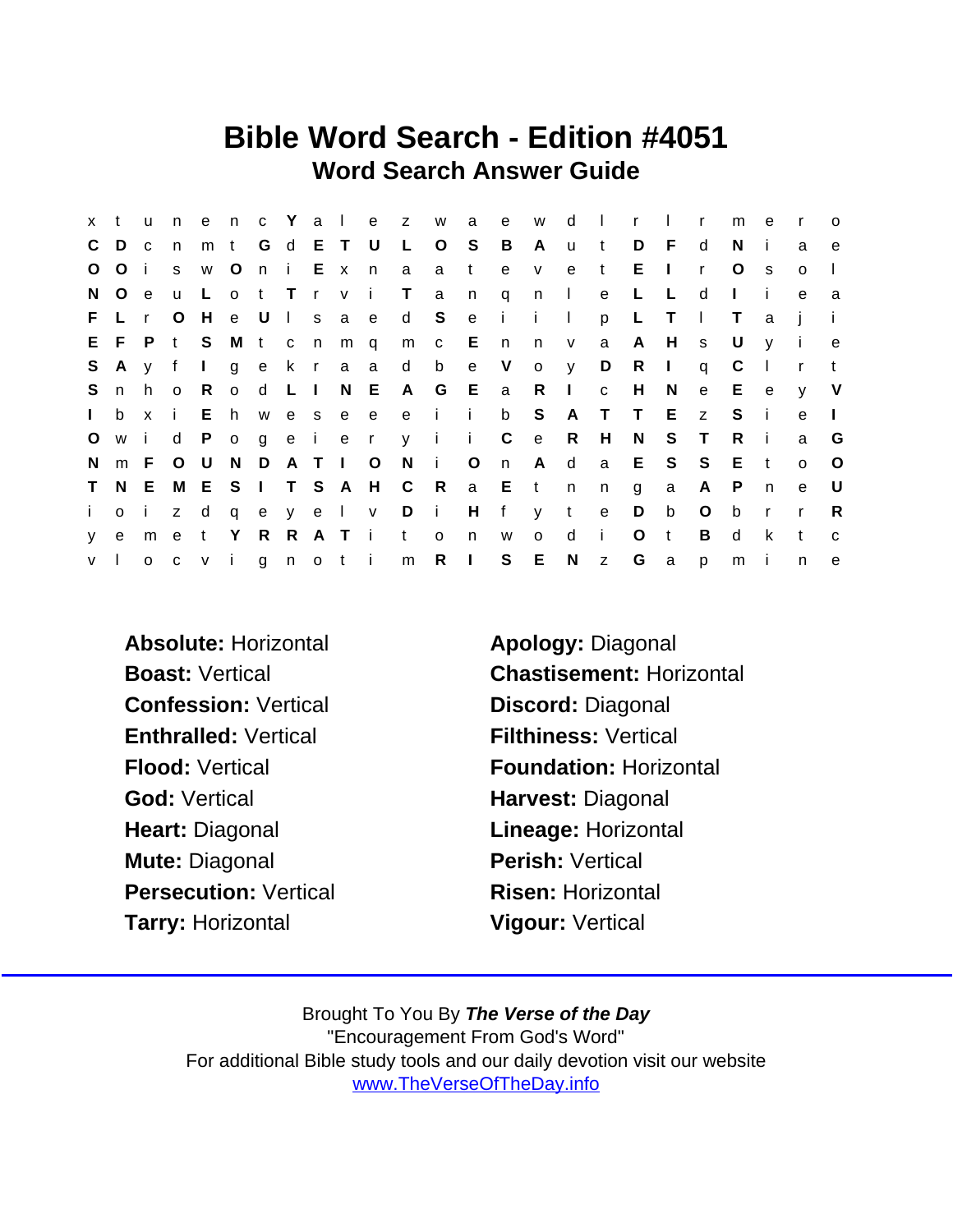## Bible Word Search - Edition #4051 Word Search Answer Guide

| x t          |         | <b>u</b>       | n              |              |             |         |  |             |           | enc Yalezw          |            | a            | e            | W            | d            | $\sim 10$    | $\mathsf{r}$ | $\sim 1$ .     | $\mathsf{r}$ | m            | e            | $\mathsf{r}$   | $\circ$      |
|--------------|---------|----------------|----------------|--------------|-------------|---------|--|-------------|-----------|---------------------|------------|--------------|--------------|--------------|--------------|--------------|--------------|----------------|--------------|--------------|--------------|----------------|--------------|
| C D          |         | C <sub>c</sub> | n              | m            | t G d E T U |         |  |             |           | L O                 |            | S.           | B            | A            | <b>u</b>     | t            | D            | - F            | d            | N.           | -i-          | a              | e            |
| $\circ$      | Oi      |                | S              | W            | $\circ$     |         |  | n i Exn     |           | a                   | a          | $-t$         | $\mathsf{e}$ | $\mathsf{V}$ | $\mathbf{e}$ | t            | Е            | $\perp$        | $\mathsf{r}$ | $\circ$      | S.           | $\Omega$       |              |
| N.           | $\circ$ | e              | $\mathsf{u}$   | −L.          |             |         |  |             | ot Trvi T |                     | a          | n            | $\mathsf{q}$ | n            | $\sim 1$     | e            | L            | L              | d            | $\mathbf{L}$ | j.           | $\mathbf e$    | a            |
|              | F L r   |                | $\circ$        | H            |             |         |  |             | e Ulsae   | d S                 |            | e            | - i -        | $\mathbf{i}$ | $\Box$       | p            | L            | $\top$         | $\perp$      | T.           | a            |                |              |
|              | EFPt    |                |                | S.           |             |         |  | M t c n m q |           | m c E n             |            |              |              | n            | V            | a            | $\mathsf{A}$ | H              | S            | U            | $\mathsf{V}$ | $\blacksquare$ | e.           |
| S.           | A       | V              | f              | $\mathbf{I}$ |             |         |  |             | gekraa    | d b                 |            | e V          |              | $\circ$      | <b>y</b>     | D            | R            | $\mathbf{I}$   | q            | C            |              | $\mathsf{r}$   | $\mathbf{t}$ |
| S.           | n       | h.             | $\overline{O}$ | R.           |             | o d L I |  |             |           | N E A G E a R I     |            |              |              |              |              | $\mathbf{C}$ | H            | N              | e            | E.           | e            | $\mathsf{V}$   | V            |
| $\mathbf{L}$ | b       | $\mathbf{x}$   | i.             | E h          |             |         |  |             |           | wesee ei i          |            |              | $\mathsf{b}$ | S            | A            | $\top$       | $\top$       | E              | Z            | S.           | -i-          | e              | $\mathbf{L}$ |
| $\circ$      | w i     |                | d              |              |             |         |  |             |           | Pogeieryii          |            |              | $\mathsf{C}$ | e            | R            | H            | N            | S              | $\top$       | R.           | -i-          | a              | G            |
| N.           |         | m F            | $\circ$        | U U          | N           |         |  | DATIO       |           | N                   | $\sim 1$ . | $\circ$      | n            | A            | d            | a            |              | E S            | S S          | - E          | t            | $\Omega$       | $\circ$      |
| $\mathsf{T}$ |         | N E            |                |              |             |         |  |             |           | M E S I T S A H C R |            |              | a E t        |              | n            | n            | g            | a              | A            | $\mathsf{P}$ | $\mathsf{n}$ | e              | - U          |
| i.           | o i     |                | Z –            | d            |             |         |  |             | qeyel v   |                     | $D$ i      | H            | f            |              | y t          | $\mathbf{e}$ | D            | b              | $\circ$      | b            | $\mathsf{r}$ | $\mathsf{r}$   | R            |
| V            | e       | m e            |                | $\mathbf{t}$ | Y           |         |  | R R A T i   |           | t                   | $\circ$    | n            | W            | $\mathsf{o}$ | d            | $\mathbf{i}$ | $\circ$      | $\mathsf{t}$   | B            | d            | k            | t              | $\mathbf{C}$ |
| V            |         |                |                | o c v i      |             |         |  | gnoti       |           | m                   | R          | $\mathbf{L}$ |              | S E          | N            | $\mathsf{Z}$ | G            | $\overline{a}$ | p            | m            | -i-          | n              | e            |

- Absolute: Horizontal **Absolute:** Horizontal Apology: Diagonal Confession: Vertical Discord: Diagonal Enthralled: Vertical Filthiness: Vertical God: Vertical **Harvest: Diagonal** Heart: Diagonal **Lineage: Horizontal** Mute: Diagonal **Perish: Vertical** Persecution: Vertical Risen: Horizontal Tarry: Horizontal Vigour: Vertical
- Boast: Vertical Chastisement: Horizontal Flood: Vertical **Foundation: Horizontal**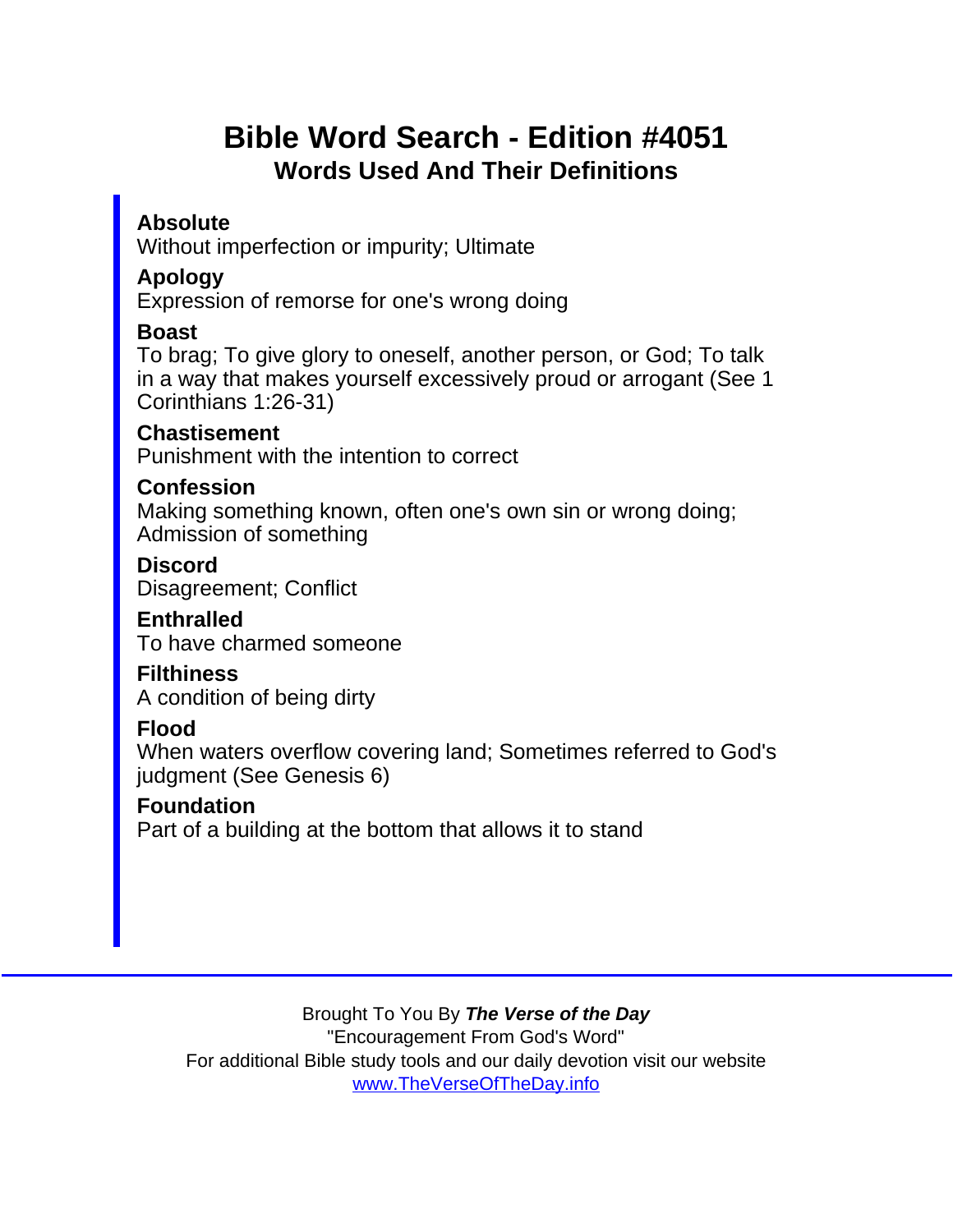# Bible Word Search - Edition #4051 Words Used And Their Definitions

Absolute Without imperfection or impurity; Ultimate

Apology

Expression of remorse for one's wrong doing

Boast

To brag; To give glory to oneself, another person, or God; To talk in a way that makes yourself excessively proud or arrogant (See 1 Corinthians 1:26-31)

**Chastisement** Punishment with the intention to correct

**Confession** 

Making something known, often one's own sin or wrong doing; Admission of something

**Discord** Disagreement; Conflict

**Enthralled** 

To have charmed someone

**Filthiness** 

A condition of being dirty

Flood

When waters overflow covering land; Sometimes referred to God's judgment (See Genesis 6)

Foundation

Part of a building at the bottom that allows it to stand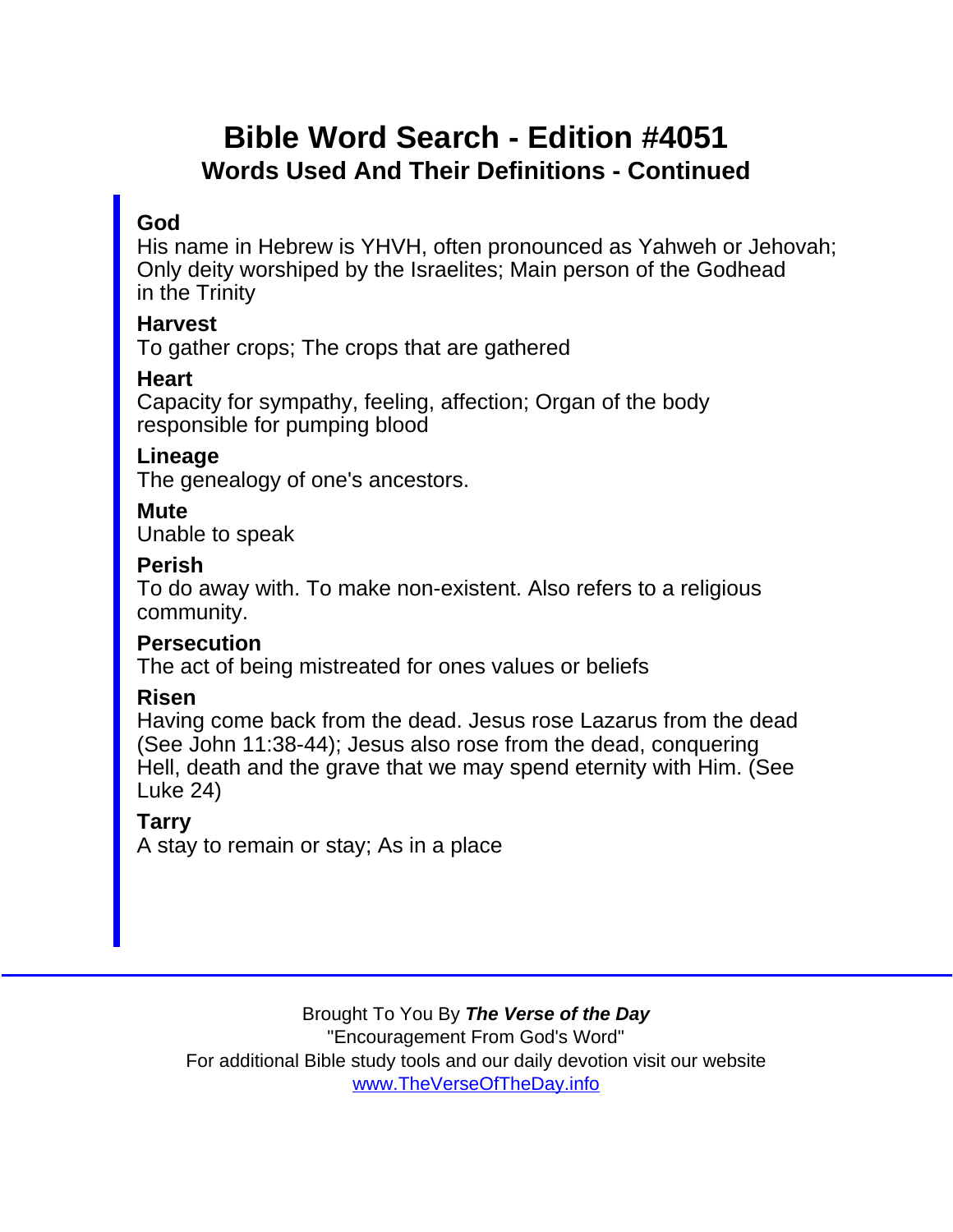## Bible Word Search - Edition #4051 Words Used And Their Definitions - Continued

#### God

His name in Hebrew is YHVH, often pronounced as Yahweh or Jehovah; Only deity worshiped by the Israelites; Main person of the Godhead in the Trinity

**Harvest** 

To gather crops; The crops that are gathered

**Heart** 

Capacity for sympathy, feeling, affection; Organ of the body responsible for pumping blood

Lineage

The genealogy of one's ancestors.

**Mute** 

Unable to speak

Perish

To do away with. To make non-existent. Also refers to a religious community.

**Persecution** 

The act of being mistreated for ones values or beliefs

Risen

Having come back from the dead. Jesus rose Lazarus from the dead (See John 11:38-44); Jesus also rose from the dead, conquering Hell, death and the grave that we may spend eternity with Him. (See Luke 24)

Tarry

A stay to remain or stay; As in a place